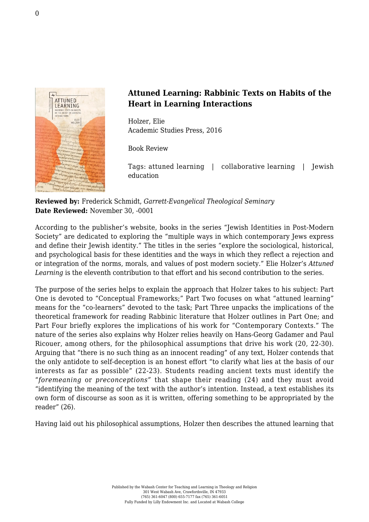

## **Attuned Learning: Rabbinic Texts on Habits of the Heart in Learning Interactions**

Holzer, Elie [Academic Studies Press, 2016](http://www.academicstudiespress.com/browse-catalog/attuned-learning-rabbinic-texts-on-habits-of-the-heart-in-learning-interactions)

Book Review

Tags: attuned learning | collaborative learning | Jewish education

**Reviewed by:** Frederick Schmidt, *Garrett-Evangelical Theological Seminary* **Date Reviewed:** November 30, -0001

According to the publisher's website, books in the series "Jewish Identities in Post-Modern Society" are dedicated to exploring the "multiple ways in which contemporary Jews express and define their Jewish identity." The titles in the series "explore the sociological, historical, and psychological basis for these identities and the ways in which they reflect a rejection and or integration of the norms, morals, and values of post modern society." Elie Holzer's *Attuned* Learning is the eleventh contribution to that effort and his second contribution to the series.

The purpose of the series helps to explain the approach that Holzer takes to his subject: Part One is devoted to "Conceptual Frameworks;" Part Two focuses on what "attuned learning" means for the "co-learners" devoted to the task; Part Three unpacks the implications of the theoretical framework for reading Rabbinic literature that Holzer outlines in Part One; and Part Four briefly explores the implications of his work for "Contemporary Contexts." The nature of the series also explains why Holzer relies heavily on Hans-Georg Gadamer and Paul Ricouer, among others, for the philosophical assumptions that drive his work (20, 22-30). Arguing that "there is no such thing as an innocent reading" of any text, Holzer contends that the only antidote to self-deception is an honest effort "to clarify what lies at the basis of our interests as far as possible" (22-23). Students reading ancient texts must identify the "*foremeaning* or *preconceptions"* that shape their reading (24) and they must avoid "identifying the meaning of the text with the author's intention. Instead, a text establishes its own form of discourse as soon as it is written, offering something to be appropriated by the reader" (26).

Having laid out his philosophical assumptions, Holzer then describes the attuned learning that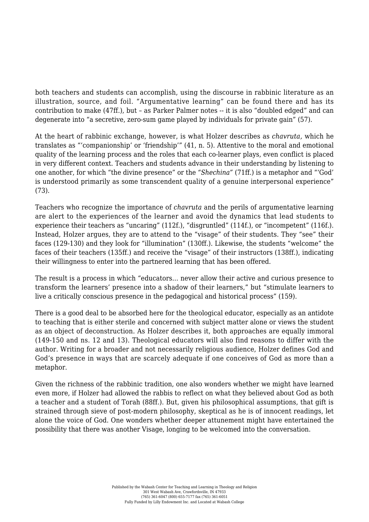both teachers and students can accomplish, using the discourse in rabbinic literature as an illustration, source, and foil. "Argumentative learning" can be found there and has its contribution to make (47ff.), but – as Parker Palmer notes -- it is also "doubled edged" and can degenerate into "a secretive, zero-sum game played by individuals for private gain" (57).

At the heart of rabbinic exchange, however, is what Holzer describes as *chavruta,* which he translates as "'companionship' or 'friendship'" (41, n. 5). Attentive to the moral and emotional quality of the learning process and the roles that each co-learner plays, even conflict is placed in very different context. Teachers and students advance in their understanding by listening to one another, for which "the divine presence" or the *"Shechina"* (71ff.) is a metaphor and "'God' is understood primarily as some transcendent quality of a genuine interpersonal experience" (73).

Teachers who recognize the importance of *chavruta* and the perils of argumentative learning are alert to the experiences of the learner and avoid the dynamics that lead students to experience their teachers as "uncaring" (112f.), "disgruntled" (114f.), or "incompetent" (116f.). Instead, Holzer argues, they are to attend to the "visage" of their students. They "see" their faces (129-130) and they look for "illumination" (130ff.). Likewise, the students "welcome" the faces of their teachers (135ff.) and receive the "visage" of their instructors (138ff.), indicating their willingness to enter into the partnered learning that has been offered.

The result is a process in which "educators… never allow their active and curious presence to transform the learners' presence into a shadow of their learners," but "stimulate learners to live a critically conscious presence in the pedagogical and historical process" (159).

There is a good deal to be absorbed here for the theological educator, especially as an antidote to teaching that is either sterile and concerned with subject matter alone or views the student as an object of deconstruction. As Holzer describes it, both approaches are equally immoral (149-150 and ns. 12 and 13). Theological educators will also find reasons to differ with the author. Writing for a broader and not necessarily religious audience, Holzer defines God and God's presence in ways that are scarcely adequate if one conceives of God as more than a metaphor.

Given the richness of the rabbinic tradition, one also wonders whether we might have learned even more, if Holzer had allowed the rabbis to reflect on what they believed about God as both a teacher and a student of Torah (88ff.). But, given his philosophical assumptions, that gift is strained through sieve of post-modern philosophy, skeptical as he is of innocent readings, let alone the voice of God. One wonders whether deeper attunement might have entertained the possibility that there was another Visage, longing to be welcomed into the conversation.